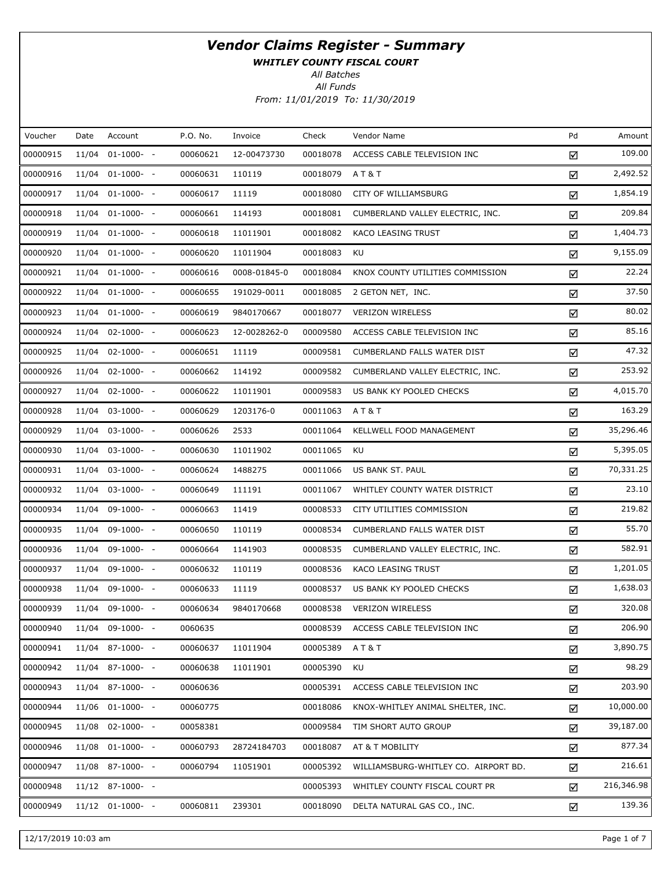WHITLEY COUNTY FISCAL COURT

All Batches

| Voucher  | Date  | Account            | P.O. No. | Invoice      | Check    | Vendor Name                          | Pd | Amount     |
|----------|-------|--------------------|----------|--------------|----------|--------------------------------------|----|------------|
| 00000915 | 11/04 | $01-1000-$         | 00060621 | 12-00473730  | 00018078 | ACCESS CABLE TELEVISION INC          | ☑  | 109.00     |
| 00000916 |       | $11/04$ 01-1000- - | 00060631 | 110119       | 00018079 | AT&T                                 | ☑  | 2,492.52   |
| 00000917 | 11/04 | $01-1000- -$       | 00060617 | 11119        | 00018080 | CITY OF WILLIAMSBURG                 | ☑  | 1,854.19   |
| 00000918 |       | $11/04$ 01-1000- - | 00060661 | 114193       | 00018081 | CUMBERLAND VALLEY ELECTRIC, INC.     | ☑  | 209.84     |
| 00000919 |       | $11/04$ 01-1000- - | 00060618 | 11011901     | 00018082 | KACO LEASING TRUST                   | ☑  | 1,404.73   |
| 00000920 |       | $11/04$ 01-1000- - | 00060620 | 11011904     | 00018083 | KU                                   | ☑  | 9,155.09   |
| 00000921 |       | $11/04$ 01-1000- - | 00060616 | 0008-01845-0 | 00018084 | KNOX COUNTY UTILITIES COMMISSION     | ☑  | 22.24      |
| 00000922 |       | $11/04$ 01-1000- - | 00060655 | 191029-0011  | 00018085 | 2 GETON NET, INC.                    | ☑  | 37.50      |
| 00000923 |       | $11/04$ 01-1000- - | 00060619 | 9840170667   | 00018077 | <b>VERIZON WIRELESS</b>              | ☑  | 80.02      |
| 00000924 |       | $11/04$ 02-1000- - | 00060623 | 12-0028262-0 | 00009580 | ACCESS CABLE TELEVISION INC          | ☑  | 85.16      |
| 00000925 |       | 11/04 02-1000- -   | 00060651 | 11119        | 00009581 | CUMBERLAND FALLS WATER DIST          | ☑  | 47.32      |
| 00000926 |       | $11/04$ 02-1000- - | 00060662 | 114192       | 00009582 | CUMBERLAND VALLEY ELECTRIC, INC.     | ☑  | 253.92     |
| 00000927 |       | 11/04 02-1000- -   | 00060622 | 11011901     | 00009583 | US BANK KY POOLED CHECKS             | ☑  | 4,015.70   |
| 00000928 |       | $11/04$ 03-1000- - | 00060629 | 1203176-0    | 00011063 | A T & T                              | ☑  | 163.29     |
| 00000929 |       | $11/04$ 03-1000- - | 00060626 | 2533         | 00011064 | KELLWELL FOOD MANAGEMENT             | ☑  | 35,296.46  |
| 00000930 |       | $11/04$ 03-1000- - | 00060630 | 11011902     | 00011065 | KU                                   | ☑  | 5,395.05   |
| 00000931 |       | $11/04$ 03-1000- - | 00060624 | 1488275      | 00011066 | US BANK ST. PAUL                     | ☑  | 70,331.25  |
| 00000932 |       | $11/04$ 03-1000- - | 00060649 | 111191       | 00011067 | WHITLEY COUNTY WATER DISTRICT        | ☑  | 23.10      |
| 00000934 |       | $11/04$ 09-1000- - | 00060663 | 11419        | 00008533 | CITY UTILITIES COMMISSION            | ☑  | 219.82     |
| 00000935 |       | $11/04$ 09-1000- - | 00060650 | 110119       | 00008534 | CUMBERLAND FALLS WATER DIST          | ☑  | 55.70      |
| 00000936 |       | $11/04$ 09-1000- - | 00060664 | 1141903      | 00008535 | CUMBERLAND VALLEY ELECTRIC, INC.     | ☑  | 582.91     |
| 00000937 |       | $11/04$ 09-1000- - | 00060632 | 110119       | 00008536 | KACO LEASING TRUST                   | ☑  | 1,201.05   |
| 00000938 |       | 11/04 09-1000- -   | 00060633 | 11119        | 00008537 | US BANK KY POOLED CHECKS             | ☑  | 1,638.03   |
| 00000939 |       | 11/04 09-1000- -   | 00060634 | 9840170668   | 00008538 | <b>VERIZON WIRELESS</b>              | ☑  | 320.08     |
| 00000940 |       | $11/04$ 09-1000- - | 0060635  |              | 00008539 | ACCESS CABLE TELEVISION INC          | ☑  | 206.90     |
| 00000941 |       | 11/04 87-1000- -   | 00060637 | 11011904     | 00005389 | AT&T                                 | ☑  | 3,890.75   |
| 00000942 |       | 11/04 87-1000- -   | 00060638 | 11011901     | 00005390 | KU                                   | ☑  | 98.29      |
| 00000943 |       | 11/04 87-1000- -   | 00060636 |              | 00005391 | ACCESS CABLE TELEVISION INC          | ☑  | 203.90     |
| 00000944 |       | $11/06$ 01-1000- - | 00060775 |              | 00018086 | KNOX-WHITLEY ANIMAL SHELTER, INC.    | ☑  | 10,000.00  |
| 00000945 |       | $11/08$ 02-1000- - | 00058381 |              | 00009584 | TIM SHORT AUTO GROUP                 | ☑  | 39,187.00  |
| 00000946 |       | $11/08$ 01-1000- - | 00060793 | 28724184703  | 00018087 | AT & T MOBILITY                      | ☑  | 877.34     |
| 00000947 |       | $11/08$ 87-1000- - | 00060794 | 11051901     | 00005392 | WILLIAMSBURG-WHITLEY CO. AIRPORT BD. | ☑  | 216.61     |
| 00000948 |       | 11/12 87-1000- -   |          |              | 00005393 | WHITLEY COUNTY FISCAL COURT PR       | ☑  | 216,346.98 |
| 00000949 |       | $11/12$ 01-1000- - | 00060811 | 239301       | 00018090 | DELTA NATURAL GAS CO., INC.          | ☑  | 139.36     |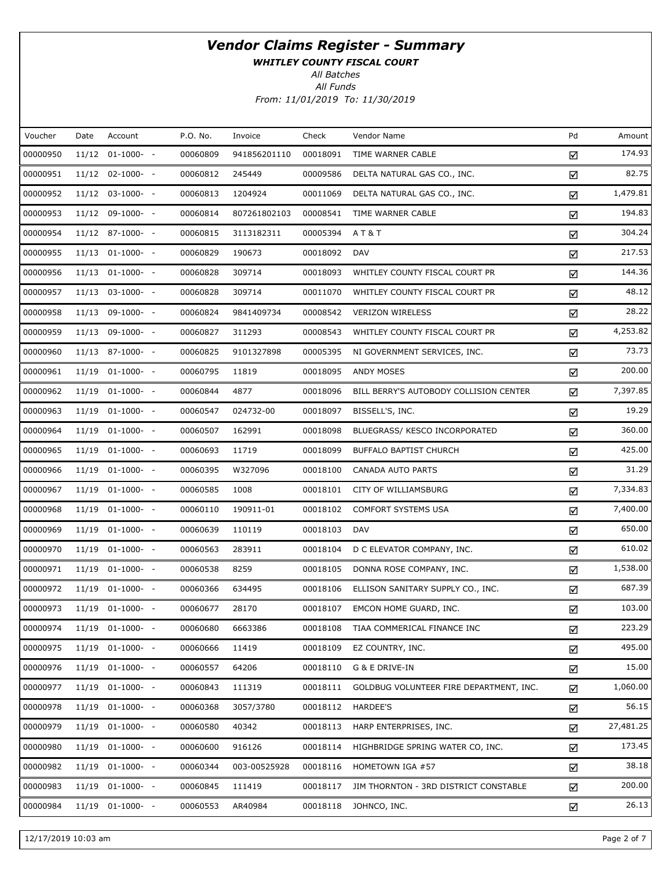WHITLEY COUNTY FISCAL COURT

All Batches

| Voucher  | Date | Account            | P.O. No. | Invoice      | Check    | Vendor Name                             | Pd | Amount    |
|----------|------|--------------------|----------|--------------|----------|-----------------------------------------|----|-----------|
| 00000950 |      | 11/12 01-1000- -   | 00060809 | 941856201110 | 00018091 | TIME WARNER CABLE                       | ☑  | 174.93    |
| 00000951 |      | 11/12 02-1000- -   | 00060812 | 245449       | 00009586 | DELTA NATURAL GAS CO., INC.             | ☑  | 82.75     |
| 00000952 |      | $11/12$ 03-1000- - | 00060813 | 1204924      | 00011069 | DELTA NATURAL GAS CO., INC.             | ☑  | 1,479.81  |
| 00000953 |      | 11/12 09-1000- -   | 00060814 | 807261802103 | 00008541 | TIME WARNER CABLE                       | ☑  | 194.83    |
| 00000954 |      | 11/12 87-1000- -   | 00060815 | 3113182311   | 00005394 | AT&T                                    | ☑  | 304.24    |
| 00000955 |      | 11/13 01-1000- -   | 00060829 | 190673       | 00018092 | <b>DAV</b>                              | ☑  | 217.53    |
| 00000956 |      | $11/13$ 01-1000- - | 00060828 | 309714       | 00018093 | WHITLEY COUNTY FISCAL COURT PR          | ☑  | 144.36    |
| 00000957 |      | $11/13$ 03-1000- - | 00060828 | 309714       | 00011070 | WHITLEY COUNTY FISCAL COURT PR          | ☑  | 48.12     |
| 00000958 |      | 11/13 09-1000- -   | 00060824 | 9841409734   | 00008542 | <b>VERIZON WIRELESS</b>                 | ☑  | 28.22     |
| 00000959 |      | 11/13 09-1000- -   | 00060827 | 311293       | 00008543 | WHITLEY COUNTY FISCAL COURT PR          | ☑  | 4,253.82  |
| 00000960 |      | 11/13 87-1000- -   | 00060825 | 9101327898   | 00005395 | NI GOVERNMENT SERVICES, INC.            | ☑  | 73.73     |
| 00000961 |      | 11/19 01-1000- -   | 00060795 | 11819        | 00018095 | <b>ANDY MOSES</b>                       | ☑  | 200.00    |
| 00000962 |      | 11/19 01-1000- -   | 00060844 | 4877         | 00018096 | BILL BERRY'S AUTOBODY COLLISION CENTER  | ☑  | 7,397.85  |
| 00000963 |      | 11/19 01-1000- -   | 00060547 | 024732-00    | 00018097 | BISSELL'S, INC.                         | ☑  | 19.29     |
| 00000964 |      | 11/19 01-1000- -   | 00060507 | 162991       | 00018098 | BLUEGRASS/ KESCO INCORPORATED           | ☑  | 360.00    |
| 00000965 |      | 11/19 01-1000- -   | 00060693 | 11719        | 00018099 | <b>BUFFALO BAPTIST CHURCH</b>           | ☑  | 425.00    |
| 00000966 |      | 11/19 01-1000- -   | 00060395 | W327096      | 00018100 | CANADA AUTO PARTS                       | ☑  | 31.29     |
| 00000967 |      | 11/19 01-1000- -   | 00060585 | 1008         | 00018101 | CITY OF WILLIAMSBURG                    | ☑  | 7,334.83  |
| 00000968 |      | 11/19 01-1000- -   | 00060110 | 190911-01    | 00018102 | <b>COMFORT SYSTEMS USA</b>              | ☑  | 7,400.00  |
| 00000969 |      | $11/19$ 01-1000- - | 00060639 | 110119       | 00018103 | <b>DAV</b>                              | ☑  | 650.00    |
| 00000970 |      | 11/19 01-1000- -   | 00060563 | 283911       | 00018104 | D C ELEVATOR COMPANY, INC.              | ☑  | 610.02    |
| 00000971 |      | 11/19 01-1000- -   | 00060538 | 8259         | 00018105 | DONNA ROSE COMPANY, INC.                | ☑  | 1,538.00  |
| 00000972 |      | 11/19 01-1000- -   | 00060366 | 634495       | 00018106 | ELLISON SANITARY SUPPLY CO., INC.       | ☑  | 687.39    |
| 00000973 |      | 11/19 01-1000- -   | 00060677 | 28170        | 00018107 | EMCON HOME GUARD, INC.                  | ☑  | 103.00    |
| 00000974 |      | 11/19 01-1000- -   | 00060680 | 6663386      | 00018108 | TIAA COMMERICAL FINANCE INC             | ☑  | 223.29    |
| 00000975 |      | 11/19 01-1000- -   | 00060666 | 11419        | 00018109 | EZ COUNTRY, INC.                        | ☑  | 495.00    |
| 00000976 |      | 11/19 01-1000- -   | 00060557 | 64206        | 00018110 | G & E DRIVE-IN                          | ☑  | 15.00     |
| 00000977 |      | 11/19 01-1000- -   | 00060843 | 111319       | 00018111 | GOLDBUG VOLUNTEER FIRE DEPARTMENT, INC. | ☑  | 1,060.00  |
| 00000978 |      | 11/19 01-1000- -   | 00060368 | 3057/3780    | 00018112 | <b>HARDEE'S</b>                         | ☑  | 56.15     |
| 00000979 |      | 11/19 01-1000- -   | 00060580 | 40342        | 00018113 | HARP ENTERPRISES, INC.                  | ☑  | 27,481.25 |
| 00000980 |      | 11/19 01-1000- -   | 00060600 | 916126       | 00018114 | HIGHBRIDGE SPRING WATER CO, INC.        | ☑  | 173.45    |
| 00000982 |      | 11/19 01-1000- -   | 00060344 | 003-00525928 | 00018116 | HOMETOWN IGA #57                        | ☑  | 38.18     |
| 00000983 |      | 11/19 01-1000- -   | 00060845 | 111419       | 00018117 | JIM THORNTON - 3RD DISTRICT CONSTABLE   | ☑  | 200.00    |
| 00000984 |      | 11/19 01-1000- -   | 00060553 | AR40984      | 00018118 | JOHNCO, INC.                            | ☑  | 26.13     |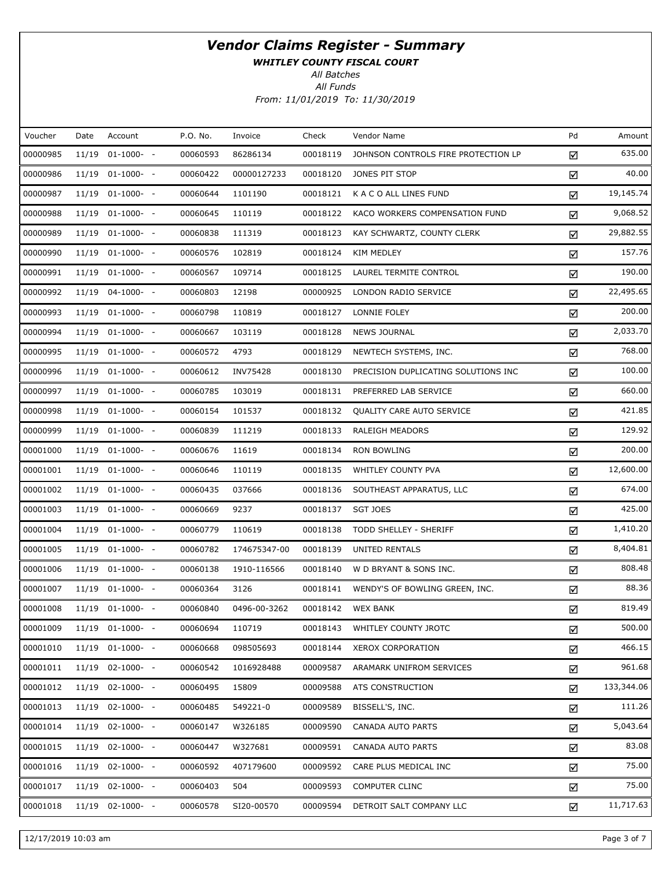WHITLEY COUNTY FISCAL COURT

All Funds All Batches

From: 11/01/2019 To: 11/30/2019

| Voucher  | Date  | Account          | P.O. No. | Invoice      | Check    | Vendor Name                         | Pd | Amount     |
|----------|-------|------------------|----------|--------------|----------|-------------------------------------|----|------------|
| 00000985 | 11/19 | $01-1000-$       | 00060593 | 86286134     | 00018119 | JOHNSON CONTROLS FIRE PROTECTION LP | ☑  | 635.00     |
| 00000986 |       | 11/19 01-1000- - | 00060422 | 00000127233  | 00018120 | JONES PIT STOP                      | ☑  | 40.00      |
| 00000987 |       | 11/19 01-1000- - | 00060644 | 1101190      | 00018121 | K A C O ALL LINES FUND              | ☑  | 19,145.74  |
| 00000988 |       | 11/19 01-1000- - | 00060645 | 110119       | 00018122 | KACO WORKERS COMPENSATION FUND      | ☑  | 9,068.52   |
| 00000989 |       | 11/19 01-1000- - | 00060838 | 111319       | 00018123 | KAY SCHWARTZ, COUNTY CLERK          | ☑  | 29,882.55  |
| 00000990 |       | 11/19 01-1000- - | 00060576 | 102819       | 00018124 | KIM MEDLEY                          | ☑  | 157.76     |
| 00000991 |       | 11/19 01-1000- - | 00060567 | 109714       | 00018125 | LAUREL TERMITE CONTROL              | ☑  | 190.00     |
| 00000992 |       | 11/19 04-1000- - | 00060803 | 12198        | 00000925 | LONDON RADIO SERVICE                | ☑  | 22,495.65  |
| 00000993 |       | 11/19 01-1000- - | 00060798 | 110819       | 00018127 | LONNIE FOLEY                        | ☑  | 200.00     |
| 00000994 |       | 11/19 01-1000- - | 00060667 | 103119       | 00018128 | <b>NEWS JOURNAL</b>                 | ☑  | 2,033.70   |
| 00000995 |       | 11/19 01-1000- - | 00060572 | 4793         | 00018129 | NEWTECH SYSTEMS, INC.               | ☑  | 768.00     |
| 00000996 |       | 11/19 01-1000- - | 00060612 | INV75428     | 00018130 | PRECISION DUPLICATING SOLUTIONS INC | ☑  | 100.00     |
| 00000997 |       | 11/19 01-1000- - | 00060785 | 103019       | 00018131 | PREFERRED LAB SERVICE               | ☑  | 660.00     |
| 00000998 |       | 11/19 01-1000- - | 00060154 | 101537       | 00018132 | <b>QUALITY CARE AUTO SERVICE</b>    | ☑  | 421.85     |
| 00000999 |       | 11/19 01-1000- - | 00060839 | 111219       | 00018133 | <b>RALEIGH MEADORS</b>              | ☑  | 129.92     |
| 00001000 |       | 11/19 01-1000- - | 00060676 | 11619        | 00018134 | <b>RON BOWLING</b>                  | ☑  | 200.00     |
| 00001001 |       | 11/19 01-1000- - | 00060646 | 110119       | 00018135 | WHITLEY COUNTY PVA                  | ☑  | 12,600.00  |
| 00001002 |       | 11/19 01-1000- - | 00060435 | 037666       | 00018136 | SOUTHEAST APPARATUS, LLC            | ☑  | 674.00     |
| 00001003 |       | 11/19 01-1000- - | 00060669 | 9237         | 00018137 | <b>SGT JOES</b>                     | ☑  | 425.00     |
| 00001004 |       | 11/19 01-1000- - | 00060779 | 110619       | 00018138 | TODD SHELLEY - SHERIFF              | ☑  | 1,410.20   |
| 00001005 |       | 11/19 01-1000- - | 00060782 | 174675347-00 | 00018139 | UNITED RENTALS                      | ☑  | 8,404.81   |
| 00001006 |       | 11/19 01-1000- - | 00060138 | 1910-116566  | 00018140 | W D BRYANT & SONS INC.              | ☑  | 808.48     |
| 00001007 |       | 11/19 01-1000- - | 00060364 | 3126         | 00018141 | WENDY'S OF BOWLING GREEN, INC.      | ☑  | 88.36      |
| 00001008 |       | 11/19 01-1000- - | 00060840 | 0496-00-3262 | 00018142 | <b>WEX BANK</b>                     | ☑  | 819.49     |
| 00001009 |       | 11/19 01-1000- - | 00060694 | 110719       | 00018143 | WHITLEY COUNTY JROTC                | ☑  | 500.00     |
| 00001010 |       | 11/19 01-1000- - | 00060668 | 098505693    | 00018144 | XEROX CORPORATION                   | ☑  | 466.15     |
| 00001011 |       | 11/19 02-1000- - | 00060542 | 1016928488   | 00009587 | ARAMARK UNIFROM SERVICES            | ☑  | 961.68     |
| 00001012 |       | 11/19 02-1000- - | 00060495 | 15809        | 00009588 | ATS CONSTRUCTION                    | ☑  | 133,344.06 |
| 00001013 |       | 11/19 02-1000- - | 00060485 | 549221-0     | 00009589 | BISSELL'S, INC.                     | ☑  | 111.26     |
| 00001014 |       | 11/19 02-1000- - | 00060147 | W326185      | 00009590 | CANADA AUTO PARTS                   | ☑  | 5,043.64   |
| 00001015 |       | 11/19 02-1000- - | 00060447 | W327681      | 00009591 | CANADA AUTO PARTS                   | ☑  | 83.08      |
| 00001016 |       | 11/19 02-1000- - | 00060592 | 407179600    | 00009592 | CARE PLUS MEDICAL INC               | ☑  | 75.00      |
| 00001017 |       | 11/19 02-1000- - | 00060403 | 504          | 00009593 | <b>COMPUTER CLINC</b>               | ☑  | 75.00      |
| 00001018 |       | 11/19 02-1000- - | 00060578 | SI20-00570   | 00009594 | DETROIT SALT COMPANY LLC            | ☑  | 11,717.63  |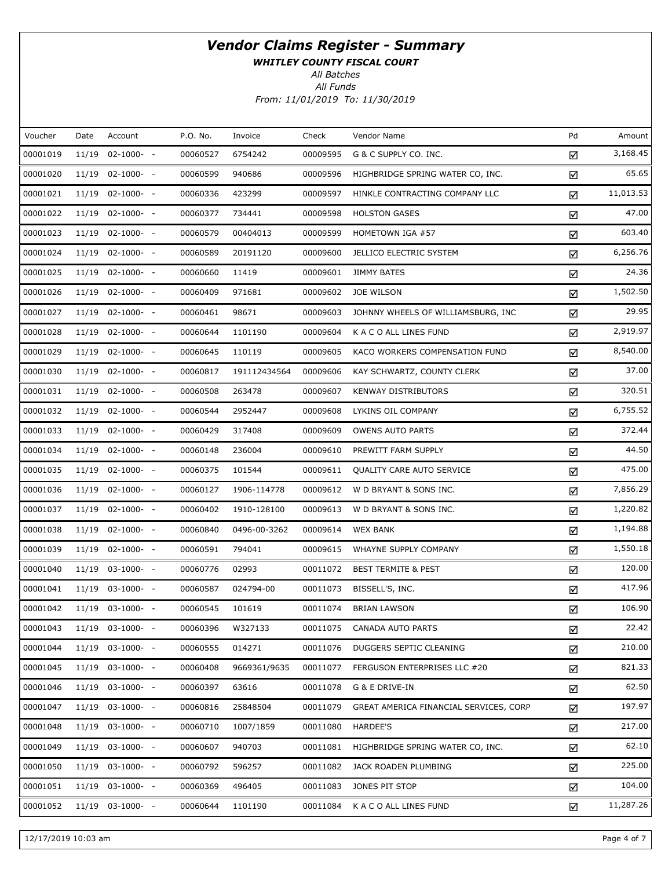WHITLEY COUNTY FISCAL COURT

All Batches

| Voucher  | Date  | Account            | P.O. No. | Invoice      | Check    | Vendor Name                            | Pd | Amount    |
|----------|-------|--------------------|----------|--------------|----------|----------------------------------------|----|-----------|
| 00001019 | 11/19 | $02-1000- -$       | 00060527 | 6754242      | 00009595 | G & C SUPPLY CO. INC.                  | ☑  | 3,168.45  |
| 00001020 |       | $11/19$ 02-1000- - | 00060599 | 940686       | 00009596 | HIGHBRIDGE SPRING WATER CO, INC.       | ☑  | 65.65     |
| 00001021 | 11/19 | $02 - 1000 - -$    | 00060336 | 423299       | 00009597 | HINKLE CONTRACTING COMPANY LLC         | ☑  | 11,013.53 |
| 00001022 |       | $11/19$ 02-1000- - | 00060377 | 734441       | 00009598 | <b>HOLSTON GASES</b>                   | ☑  | 47.00     |
| 00001023 | 11/19 | $02 - 1000 - -$    | 00060579 | 00404013     | 00009599 | HOMETOWN IGA #57                       | ☑  | 603.40    |
| 00001024 |       | $11/19$ 02-1000- - | 00060589 | 20191120     | 00009600 | JELLICO ELECTRIC SYSTEM                | ☑  | 6,256.76  |
| 00001025 | 11/19 | $02 - 1000 - -$    | 00060660 | 11419        | 00009601 | JIMMY BATES                            | ☑  | 24.36     |
| 00001026 |       | $11/19$ 02-1000- - | 00060409 | 971681       | 00009602 | JOE WILSON                             | ☑  | 1,502.50  |
| 00001027 | 11/19 | $02 - 1000 - -$    | 00060461 | 98671        | 00009603 | JOHNNY WHEELS OF WILLIAMSBURG, INC     | ☑  | 29.95     |
| 00001028 |       | $11/19$ 02-1000- - | 00060644 | 1101190      | 00009604 | K A C O ALL LINES FUND                 | ☑  | 2,919.97  |
| 00001029 | 11/19 | $02 - 1000 - -$    | 00060645 | 110119       | 00009605 | KACO WORKERS COMPENSATION FUND         | ☑  | 8,540.00  |
| 00001030 |       | 11/19 02-1000- -   | 00060817 | 191112434564 | 00009606 | KAY SCHWARTZ, COUNTY CLERK             | ☑  | 37.00     |
| 00001031 | 11/19 | $02 - 1000 - -$    | 00060508 | 263478       | 00009607 | <b>KENWAY DISTRIBUTORS</b>             | ☑  | 320.51    |
| 00001032 |       | $11/19$ 02-1000- - | 00060544 | 2952447      | 00009608 | LYKINS OIL COMPANY                     | ☑  | 6,755.52  |
| 00001033 | 11/19 | $02 - 1000 - -$    | 00060429 | 317408       | 00009609 | <b>OWENS AUTO PARTS</b>                | ☑  | 372.44    |
| 00001034 |       | $11/19$ 02-1000- - | 00060148 | 236004       | 00009610 | PREWITT FARM SUPPLY                    | ☑  | 44.50     |
| 00001035 | 11/19 | $02 - 1000 - -$    | 00060375 | 101544       | 00009611 | QUALITY CARE AUTO SERVICE              | ☑  | 475.00    |
| 00001036 |       | $11/19$ 02-1000- - | 00060127 | 1906-114778  | 00009612 | W D BRYANT & SONS INC.                 | ☑  | 7,856.29  |
| 00001037 | 11/19 | $02 - 1000 - -$    | 00060402 | 1910-128100  | 00009613 | W D BRYANT & SONS INC.                 | ☑  | 1,220.82  |
| 00001038 |       | $11/19$ 02-1000- - | 00060840 | 0496-00-3262 | 00009614 | <b>WEX BANK</b>                        | ☑  | 1,194.88  |
| 00001039 | 11/19 | $02 - 1000 - -$    | 00060591 | 794041       | 00009615 | WHAYNE SUPPLY COMPANY                  | ☑  | 1,550.18  |
| 00001040 |       | $11/19$ 03-1000- - | 00060776 | 02993        | 00011072 | <b>BEST TERMITE &amp; PEST</b>         | ☑  | 120.00    |
| 00001041 | 11/19 | $03-1000- -$       | 00060587 | 024794-00    | 00011073 | BISSELL'S, INC.                        | ☑  | 417.96    |
| 00001042 |       | 11/19 03-1000- -   | 00060545 | 101619       | 00011074 | <b>BRIAN LAWSON</b>                    | ☑  | 106.90    |
| 00001043 |       | $11/19$ 03-1000- - | 00060396 | W327133      | 00011075 | CANADA AUTO PARTS                      | ☑  | 22.42     |
| 00001044 | 11/19 | $03-1000- -$       | 00060555 | 014271       | 00011076 | DUGGERS SEPTIC CLEANING                | ☑  | 210.00    |
| 00001045 |       | 11/19 03-1000- -   | 00060408 | 9669361/9635 | 00011077 | FERGUSON ENTERPRISES LLC #20           | ☑  | 821.33    |
| 00001046 | 11/19 | $03-1000- -$       | 00060397 | 63616        | 00011078 | G & E DRIVE-IN                         | ☑  | 62.50     |
| 00001047 | 11/19 | $03-1000- -$       | 00060816 | 25848504     | 00011079 | GREAT AMERICA FINANCIAL SERVICES, CORP | ☑  | 197.97    |
| 00001048 | 11/19 | $03-1000- -$       | 00060710 | 1007/1859    | 00011080 | HARDEE'S                               | ☑  | 217.00    |
| 00001049 | 11/19 | $03-1000- -$       | 00060607 | 940703       | 00011081 | HIGHBRIDGE SPRING WATER CO, INC.       | ☑  | 62.10     |
| 00001050 | 11/19 | $03-1000- -$       | 00060792 | 596257       | 00011082 | JACK ROADEN PLUMBING                   | ☑  | 225.00    |
| 00001051 | 11/19 | $03-1000- -$       | 00060369 | 496405       | 00011083 | JONES PIT STOP                         | ☑  | 104.00    |
| 00001052 | 11/19 | $03-1000- -$       | 00060644 | 1101190      | 00011084 | K A C O ALL LINES FUND                 | ☑  | 11,287.26 |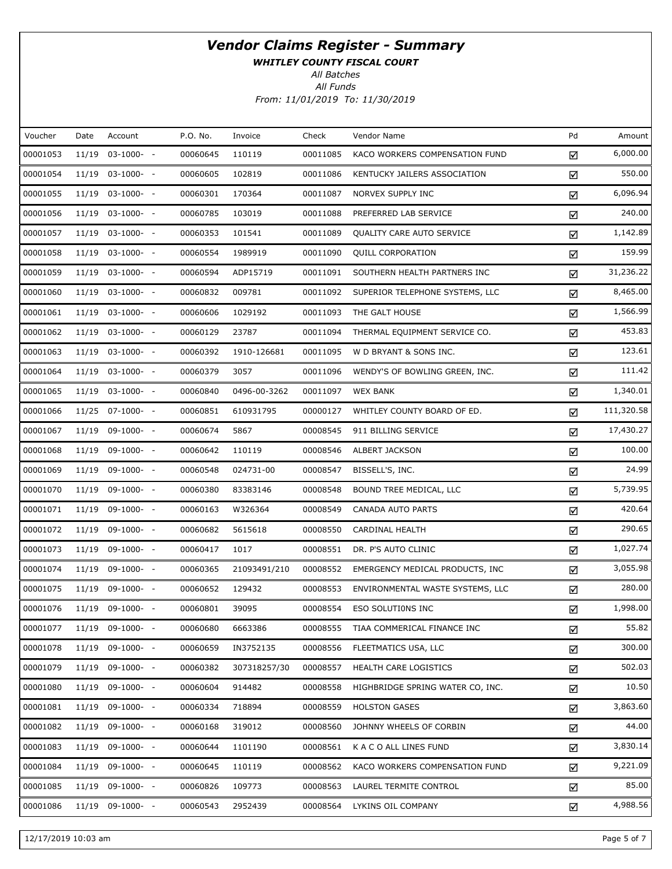WHITLEY COUNTY FISCAL COURT

All Batches

| Voucher  | Date  | Account            | P.O. No. | Invoice      | Check    | Vendor Name                      | Pd | Amount     |
|----------|-------|--------------------|----------|--------------|----------|----------------------------------|----|------------|
| 00001053 | 11/19 | $03-1000- -$       | 00060645 | 110119       | 00011085 | KACO WORKERS COMPENSATION FUND   | ☑  | 6,000.00   |
| 00001054 |       | $11/19$ 03-1000- - | 00060605 | 102819       | 00011086 | KENTUCKY JAILERS ASSOCIATION     | ☑  | 550.00     |
| 00001055 |       | 11/19 03-1000- -   | 00060301 | 170364       | 00011087 | NORVEX SUPPLY INC                | ☑  | 6,096.94   |
| 00001056 |       | $11/19$ 03-1000- - | 00060785 | 103019       | 00011088 | PREFERRED LAB SERVICE            | ☑  | 240.00     |
| 00001057 |       | 11/19 03-1000- -   | 00060353 | 101541       | 00011089 | QUALITY CARE AUTO SERVICE        | ☑  | 1,142.89   |
| 00001058 |       | $11/19$ 03-1000- - | 00060554 | 1989919      | 00011090 | <b>QUILL CORPORATION</b>         | ☑  | 159.99     |
| 00001059 |       | 11/19 03-1000- -   | 00060594 | ADP15719     | 00011091 | SOUTHERN HEALTH PARTNERS INC     | ☑  | 31,236.22  |
| 00001060 |       | $11/19$ 03-1000- - | 00060832 | 009781       | 00011092 | SUPERIOR TELEPHONE SYSTEMS, LLC  | ☑  | 8,465.00   |
| 00001061 |       | 11/19 03-1000- -   | 00060606 | 1029192      | 00011093 | THE GALT HOUSE                   | ☑  | 1,566.99   |
| 00001062 |       | $11/19$ 03-1000- - | 00060129 | 23787        | 00011094 | THERMAL EQUIPMENT SERVICE CO.    | ☑  | 453.83     |
| 00001063 |       | 11/19 03-1000- -   | 00060392 | 1910-126681  | 00011095 | W D BRYANT & SONS INC.           | ☑  | 123.61     |
| 00001064 |       | $11/19$ 03-1000- - | 00060379 | 3057         | 00011096 | WENDY'S OF BOWLING GREEN, INC.   | ☑  | 111.42     |
| 00001065 |       | $11/19$ 03-1000- - | 00060840 | 0496-00-3262 | 00011097 | <b>WEX BANK</b>                  | ☑  | 1,340.01   |
| 00001066 |       | 11/25 07-1000- -   | 00060851 | 610931795    | 00000127 | WHITLEY COUNTY BOARD OF ED.      | ☑  | 111,320.58 |
| 00001067 |       | 11/19 09-1000- -   | 00060674 | 5867         | 00008545 | 911 BILLING SERVICE              | ☑  | 17,430.27  |
| 00001068 |       | 11/19 09-1000- -   | 00060642 | 110119       | 00008546 | ALBERT JACKSON                   | ☑  | 100.00     |
| 00001069 |       | $11/19$ 09-1000- - | 00060548 | 024731-00    | 00008547 | BISSELL'S, INC.                  | ☑  | 24.99      |
| 00001070 |       | $11/19$ 09-1000- - | 00060380 | 83383146     | 00008548 | BOUND TREE MEDICAL, LLC          | ☑  | 5,739.95   |
| 00001071 |       | $11/19$ 09-1000- - | 00060163 | W326364      | 00008549 | CANADA AUTO PARTS                | ☑  | 420.64     |
| 00001072 |       | $11/19$ 09-1000- - | 00060682 | 5615618      | 00008550 | CARDINAL HEALTH                  | ☑  | 290.65     |
| 00001073 |       | 11/19 09-1000- -   | 00060417 | 1017         | 00008551 | DR. P'S AUTO CLINIC              | ☑  | 1,027.74   |
| 00001074 |       | $11/19$ 09-1000- - | 00060365 | 21093491/210 | 00008552 | EMERGENCY MEDICAL PRODUCTS, INC. | ☑  | 3,055.98   |
| 00001075 |       | $11/19$ 09-1000- - | 00060652 | 129432       | 00008553 | ENVIRONMENTAL WASTE SYSTEMS, LLC | ☑  | 280.00     |
| 00001076 |       | 11/19 09-1000- -   | 00060801 | 39095        | 00008554 | ESO SOLUTIONS INC                | ☑  | 1,998.00   |
| 00001077 |       | 11/19 09-1000- -   | 00060680 | 6663386      | 00008555 | TIAA COMMERICAL FINANCE INC      | ☑  | 55.82      |
| 00001078 | 11/19 | $09-1000-$         | 00060659 | IN3752135    | 00008556 | FLEETMATICS USA, LLC             | ☑  | 300.00     |
| 00001079 |       | $11/19$ 09-1000- - | 00060382 | 307318257/30 | 00008557 | HEALTH CARE LOGISTICS            | ☑  | 502.03     |
| 00001080 | 11/19 | 09-1000- -         | 00060604 | 914482       | 00008558 | HIGHBRIDGE SPRING WATER CO, INC. | ☑  | 10.50      |
| 00001081 |       | $11/19$ 09-1000- - | 00060334 | 718894       | 00008559 | <b>HOLSTON GASES</b>             | ☑  | 3,863.60   |
| 00001082 | 11/19 | 09-1000- -         | 00060168 | 319012       | 00008560 | JOHNNY WHEELS OF CORBIN          | ☑  | 44.00      |
| 00001083 |       | $11/19$ 09-1000- - | 00060644 | 1101190      | 00008561 | K A C O ALL LINES FUND           | ☑  | 3,830.14   |
| 00001084 | 11/19 | $09-1000-$         | 00060645 | 110119       | 00008562 | KACO WORKERS COMPENSATION FUND   | ☑  | 9,221.09   |
| 00001085 |       | $11/19$ 09-1000- - | 00060826 | 109773       | 00008563 | LAUREL TERMITE CONTROL           | ☑  | 85.00      |
| 00001086 |       | 11/19 09-1000- -   | 00060543 | 2952439      | 00008564 | LYKINS OIL COMPANY               | ☑  | 4,988.56   |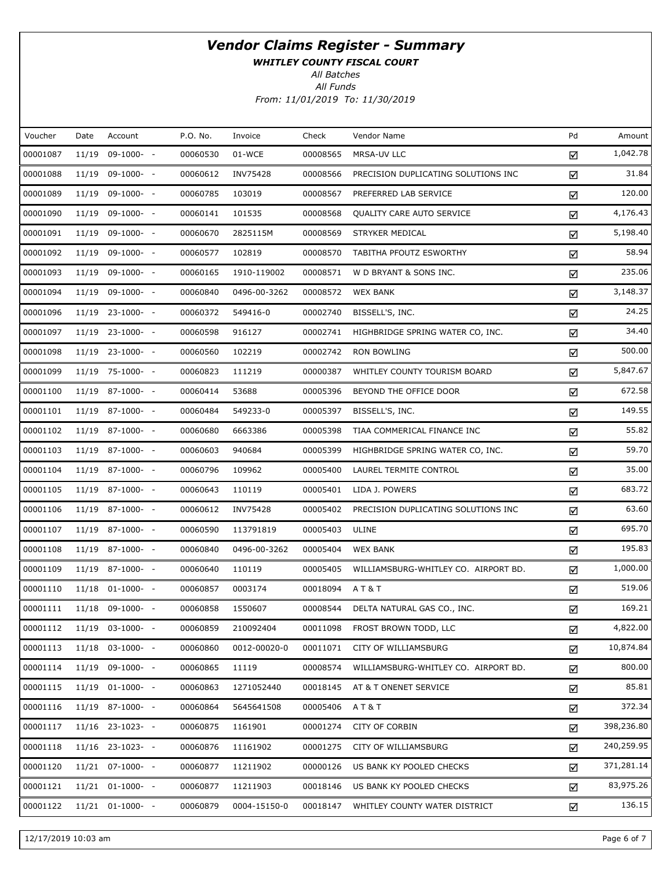WHITLEY COUNTY FISCAL COURT

All Batches

| Voucher  | Date  | Account            | P.O. No. | Invoice      | Check    | Vendor Name                          | Pd | Amount     |
|----------|-------|--------------------|----------|--------------|----------|--------------------------------------|----|------------|
| 00001087 | 11/19 | 09-1000- -         | 00060530 | 01-WCE       | 00008565 | MRSA-UV LLC                          | ☑  | 1,042.78   |
| 00001088 |       | 11/19 09-1000- -   | 00060612 | INV75428     | 00008566 | PRECISION DUPLICATING SOLUTIONS INC  | ☑  | 31.84      |
| 00001089 |       | 11/19 09-1000- -   | 00060785 | 103019       | 00008567 | PREFERRED LAB SERVICE                | ☑  | 120.00     |
| 00001090 |       | 11/19 09-1000- -   | 00060141 | 101535       | 00008568 | QUALITY CARE AUTO SERVICE            | ☑  | 4,176.43   |
| 00001091 |       | 11/19 09-1000- -   | 00060670 | 2825115M     | 00008569 | STRYKER MEDICAL                      | ☑  | 5,198.40   |
| 00001092 |       | 11/19 09-1000- -   | 00060577 | 102819       | 00008570 | TABITHA PFOUTZ ESWORTHY              | ☑  | 58.94      |
| 00001093 |       | 11/19 09-1000- -   | 00060165 | 1910-119002  | 00008571 | W D BRYANT & SONS INC.               | ☑  | 235.06     |
| 00001094 |       | 11/19 09-1000- -   | 00060840 | 0496-00-3262 | 00008572 | <b>WEX BANK</b>                      | ☑  | 3,148.37   |
| 00001096 |       | 11/19 23-1000- -   | 00060372 | 549416-0     | 00002740 | BISSELL'S, INC.                      | ☑  | 24.25      |
| 00001097 |       | 11/19 23-1000- -   | 00060598 | 916127       | 00002741 | HIGHBRIDGE SPRING WATER CO, INC.     | ☑  | 34.40      |
| 00001098 |       | 11/19 23-1000- -   | 00060560 | 102219       | 00002742 | <b>RON BOWLING</b>                   | ☑  | 500.00     |
| 00001099 |       | 11/19 75-1000- -   | 00060823 | 111219       | 00000387 | WHITLEY COUNTY TOURISM BOARD         | ☑  | 5,847.67   |
| 00001100 |       | 11/19 87-1000- -   | 00060414 | 53688        | 00005396 | BEYOND THE OFFICE DOOR               | ☑  | 672.58     |
| 00001101 |       | 11/19 87-1000- -   | 00060484 | 549233-0     | 00005397 | BISSELL'S, INC.                      | ☑  | 149.55     |
| 00001102 |       | 11/19 87-1000- -   | 00060680 | 6663386      | 00005398 | TIAA COMMERICAL FINANCE INC          | ☑  | 55.82      |
| 00001103 |       | 11/19 87-1000- -   | 00060603 | 940684       | 00005399 | HIGHBRIDGE SPRING WATER CO, INC.     | ☑  | 59.70      |
| 00001104 |       | 11/19 87-1000- -   | 00060796 | 109962       | 00005400 | LAUREL TERMITE CONTROL               | ☑  | 35.00      |
| 00001105 |       | 11/19 87-1000- -   | 00060643 | 110119       | 00005401 | LIDA J. POWERS                       | ☑  | 683.72     |
| 00001106 |       | 11/19 87-1000- -   | 00060612 | INV75428     | 00005402 | PRECISION DUPLICATING SOLUTIONS INC  | ☑  | 63.60      |
| 00001107 |       | 11/19 87-1000- -   | 00060590 | 113791819    | 00005403 | ULINE                                | ☑  | 695.70     |
| 00001108 |       | 11/19 87-1000- -   | 00060840 | 0496-00-3262 | 00005404 | <b>WEX BANK</b>                      | ☑  | 195.83     |
| 00001109 |       | 11/19 87-1000- -   | 00060640 | 110119       | 00005405 | WILLIAMSBURG-WHITLEY CO. AIRPORT BD. | ☑  | 1,000.00   |
| 00001110 |       | $11/18$ 01-1000- - | 00060857 | 0003174      | 00018094 | AT&T                                 | ☑  | 519.06     |
| 00001111 |       | 11/18 09-1000- -   | 00060858 | 1550607      | 00008544 | DELTA NATURAL GAS CO., INC.          | ☑  | 169.21     |
| 00001112 |       | 11/19 03-1000- -   | 00060859 | 210092404    | 00011098 | FROST BROWN TODD, LLC                | ☑  | 4,822.00   |
| 00001113 |       | $11/18$ 03-1000- - | 00060860 | 0012-00020-0 | 00011071 | CITY OF WILLIAMSBURG                 | ☑  | 10,874.84  |
| 00001114 |       | 11/19 09-1000- -   | 00060865 | 11119        | 00008574 | WILLIAMSBURG-WHITLEY CO. AIRPORT BD. | ☑  | 800.00     |
| 00001115 |       | 11/19 01-1000- -   | 00060863 | 1271052440   | 00018145 | AT & T ONENET SERVICE                | ☑  | 85.81      |
| 00001116 |       | 11/19 87-1000- -   | 00060864 | 5645641508   | 00005406 | AT&T                                 | ☑  | 372.34     |
| 00001117 |       | 11/16 23-1023- -   | 00060875 | 1161901      | 00001274 | CITY OF CORBIN                       | ☑  | 398,236.80 |
| 00001118 |       | $11/16$ 23-1023- - | 00060876 | 11161902     | 00001275 | CITY OF WILLIAMSBURG                 | ☑  | 240,259.95 |
| 00001120 |       | 11/21 07-1000- -   | 00060877 | 11211902     | 00000126 | US BANK KY POOLED CHECKS             | ☑  | 371,281.14 |
| 00001121 |       | 11/21 01-1000- -   | 00060877 | 11211903     | 00018146 | US BANK KY POOLED CHECKS             | ☑  | 83,975.26  |
| 00001122 |       | $11/21$ 01-1000- - | 00060879 | 0004-15150-0 | 00018147 | WHITLEY COUNTY WATER DISTRICT        | ☑  | 136.15     |